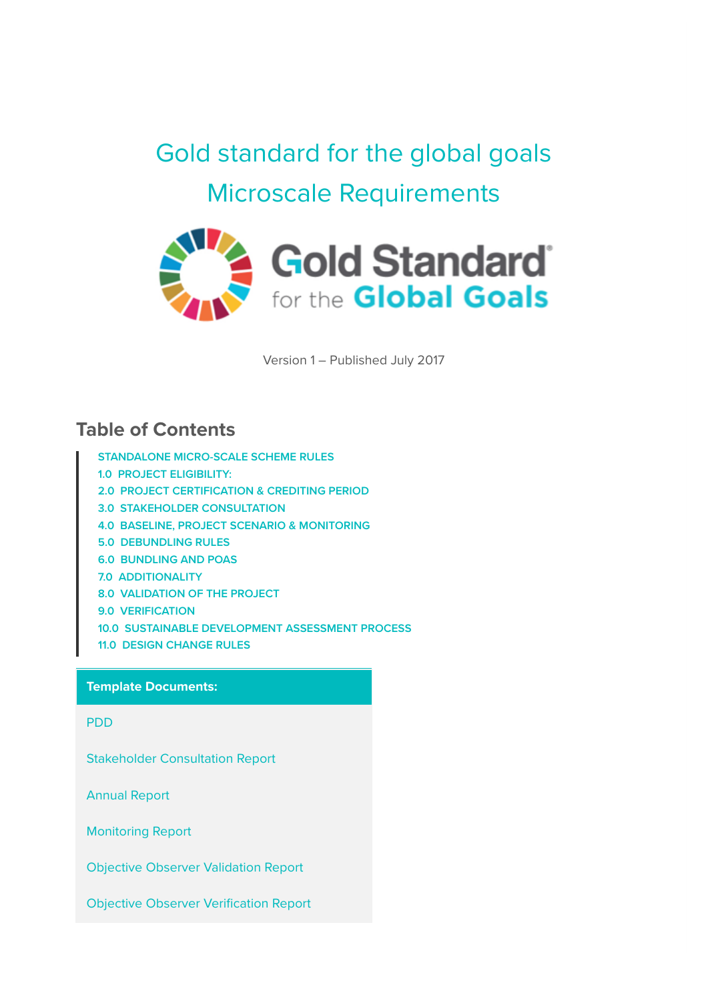Gold standard for the global goals Microscale Requirements



Version 1 – Published July 2017

#### **Table of Contents**

- **STANDALONE MICRO-SCALE SCHEME RULES**
- **1.0 PROJECT ELIGIBILITY:**
- **2.0 PROJECT CERTIFICATION & CREDITING PERIOD**
- **3.0 STAKEHOLDER CONSULTATION**
- **4.0 BASELINE, PROJECT SCENARIO & MONITORING**
- **5.0 DEBUNDLING RULES**
- **6.0 BUNDLING AND POAS**
- **7.0 ADDITIONALITY**
- **8.0 VALIDATION OF THE PROJECT**
- **9.0 VERIFICATION**
- **10.0 SUSTAINABLE DEVELOPMENT ASSESSMENT PROCESS**
- **11.0 DESIGN CHANGE RULES**

#### **Template Documents:**

PDD

Stakeholder Consultation Report

Annual Report

Monitoring Report

Objective Observer Validation Report

Objective Observer Verification Report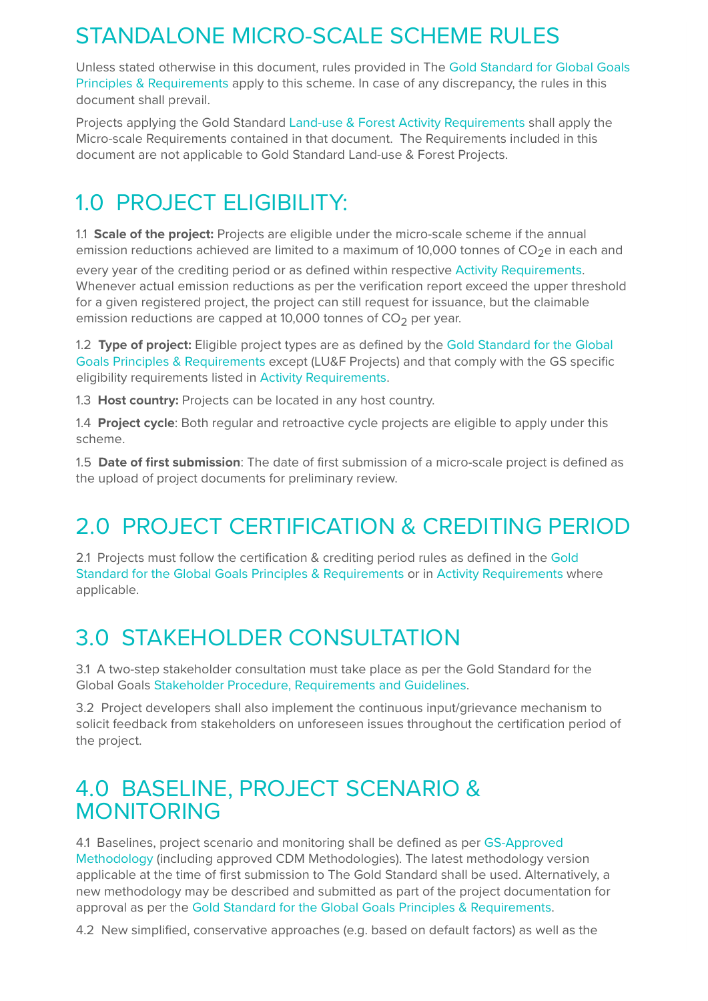## STANDALONE MICRO-SCALE SCHEME RULES

Unless stated otherwise in this document, rules provided in The Gold Standard for Global Goals Principles & Requirements apply to this scheme. In case of any discrepancy, the rules in this document shall prevail.

Projects applying the Gold Standard Land-use & Forest Activity Requirements shall apply the Micro-scale Requirements contained in that document. The Requirements included in this document are not applicable to Gold Standard Land-use & Forest Projects.

## 1.0 PROJECT ELIGIBILITY:

1.1 **Scale of the project:** Projects are eligible under the micro-scale scheme if the annual emission reductions achieved are limited to a maximum of 10,000 tonnes of  $CO<sub>2</sub>e$  in each and

every year of the crediting period or as defined within respective Activity Requirements. Whenever actual emission reductions as per the verification report exceed the upper threshold for a given registered project, the project can still request for issuance, but the claimable emission reductions are capped at 10,000 tonnes of  $CO<sub>2</sub>$  per year.

1.2 **Type of project:** Eligible project types are as defined by the Gold Standard for the Global Goals Principles & Requirements except (LU&F Projects) and that comply with the GS specific eligibility requirements listed in Activity Requirements.

1.3 **Host country:** Projects can be located in any host country.

1.4 **Project cycle**: Both regular and retroactive cycle projects are eligible to apply under this scheme.

1.5 **Date of first submission**: The date of first submission of a micro-scale project is defined as the upload of project documents for preliminary review.

# 2.0 PROJECT CERTIFICATION & CREDITING PERIOD

2.1 Projects must follow the certification & crediting period rules as defined in the Gold Standard for the Global Goals Principles & Requirements or in Activity Requirements where applicable.

## 3.0 STAKEHOLDER CONSULTATION

3.1 A two-step stakeholder consultation must take place as per the Gold Standard for the Global Goals Stakeholder Procedure, Requirements and Guidelines.

3.2 Project developers shall also implement the continuous input/grievance mechanism to solicit feedback from stakeholders on unforeseen issues throughout the certification period of the project.

### 4.0 BASELINE, PROJECT SCENARIO & MONITORING

4.1 Baselines, project scenario and monitoring shall be defined as per GS-Approved Methodology (including approved CDM Methodologies). The latest methodology version applicable at the time of first submission to The Gold Standard shall be used. Alternatively, a new methodology may be described and submitted as part of the project documentation for approval as per the Gold Standard for the Global Goals Principles & Requirements.

4.2 New simplified, conservative approaches (e.g. based on default factors) as well as the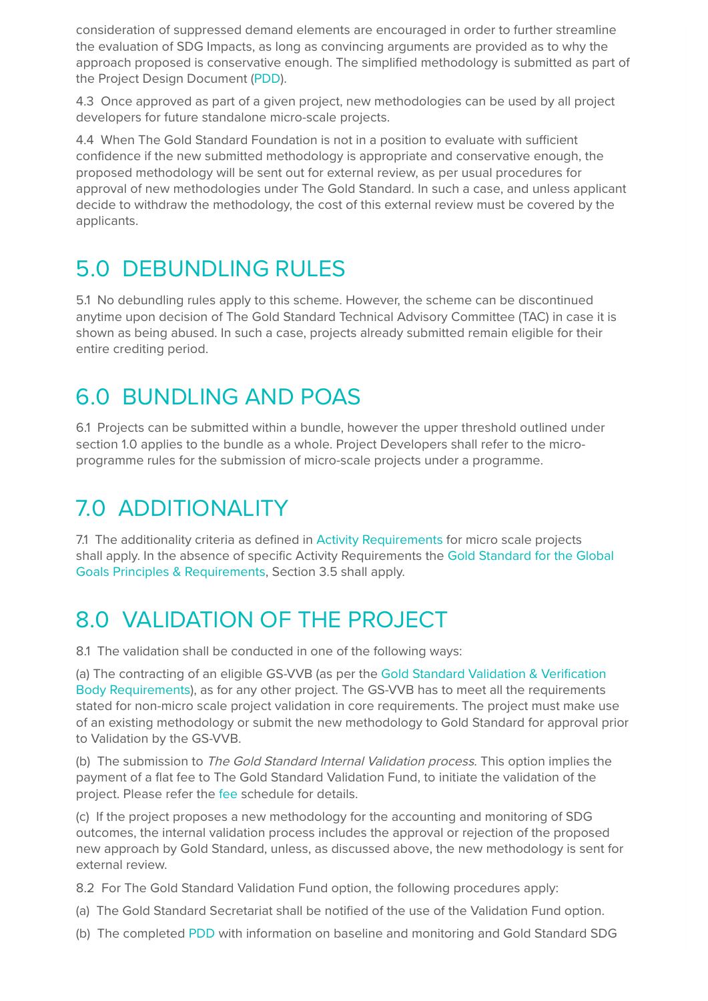consideration of suppressed demand elements are encouraged in order to further streamline the evaluation of SDG Impacts, as long as convincing arguments are provided as to why the approach proposed is conservative enough. The simplified methodology is submitted as part of the Project Design Document (PDD).

4.3 Once approved as part of a given project, new methodologies can be used by all project developers for future standalone micro-scale projects.

4.4 When The Gold Standard Foundation is not in a position to evaluate with sufficient confidence if the new submitted methodology is appropriate and conservative enough, the proposed methodology will be sent out for external review, as per usual procedures for approval of new methodologies under The Gold Standard. In such a case, and unless applicant decide to withdraw the methodology, the cost of this external review must be covered by the applicants.

## 5.0 DEBUNDLING RULES

5.1 No debundling rules apply to this scheme. However, the scheme can be discontinued anytime upon decision of The Gold Standard Technical Advisory Committee (TAC) in case it is shown as being abused. In such a case, projects already submitted remain eligible for their entire crediting period.

### 6.0 BUNDLING AND POAS

6.1 Projects can be submitted within a bundle, however the upper threshold outlined under section 1.0 applies to the bundle as a whole. Project Developers shall refer to the microprogramme rules for the submission of micro-scale projects under a programme.

## 7.0 ADDITIONALITY

7.1 The additionality criteria as defined in Activity Requirements for micro scale projects shall apply. In the absence of specific Activity Requirements the Gold Standard for the Global Goals Principles & Requirements, Section 3.5 shall apply.

## 8.0 VALIDATION OF THE PROJECT

8.1 The validation shall be conducted in one of the following ways:

(a) The contracting of an eligible GS-VVB (as per the Gold Standard Validation & Verification Body Requirements), as for any other project. The GS-VVB has to meet all the requirements stated for non-micro scale project validation in core requirements. The project must make use of an existing methodology or submit the new methodology to Gold Standard for approval prior to Validation by the GS-VVB.

(b) The submission to The Gold Standard Internal Validation process. This option implies the payment of a flat fee to The Gold Standard Validation Fund, to initiate the validation of the project. Please refer the fee schedule for details.

(c) If the project proposes a new methodology for the accounting and monitoring of SDG outcomes, the internal validation process includes the approval or rejection of the proposed new approach by Gold Standard, unless, as discussed above, the new methodology is sent for external review.

8.2 For The Gold Standard Validation Fund option, the following procedures apply:

- (a) The Gold Standard Secretariat shall be notified of the use of the Validation Fund option.
- (b) The completed PDD with information on baseline and monitoring and Gold Standard SDG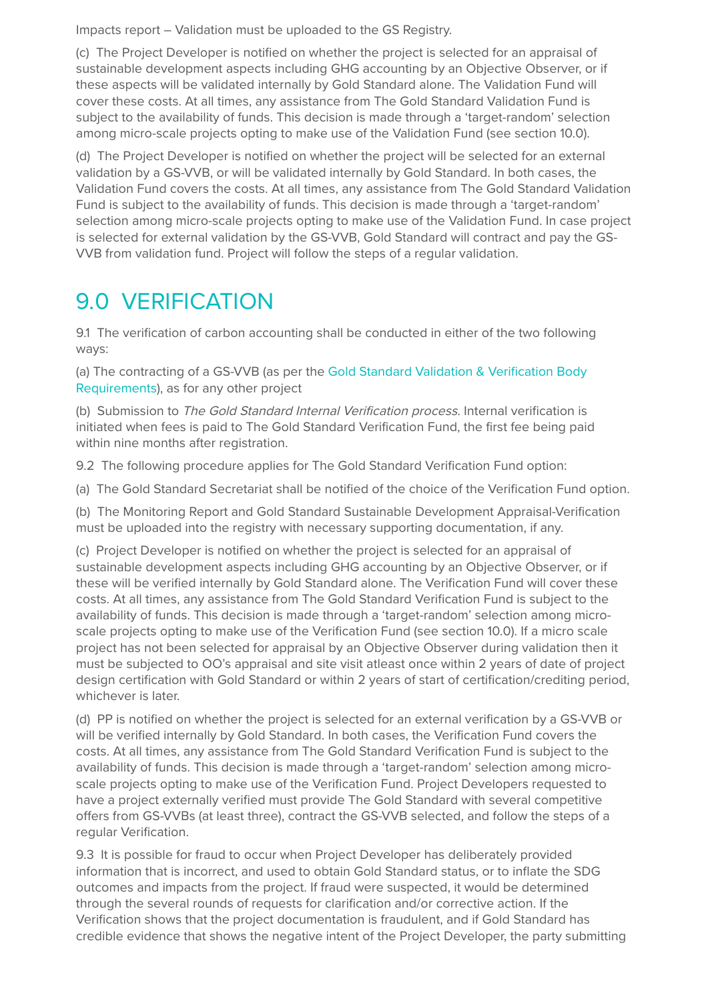Impacts report – Validation must be uploaded to the GS Registry.

(c) The Project Developer is notified on whether the project is selected for an appraisal of sustainable development aspects including GHG accounting by an Objective Observer, or if these aspects will be validated internally by Gold Standard alone. The Validation Fund will cover these costs. At all times, any assistance from The Gold Standard Validation Fund is subject to the availability of funds. This decision is made through a 'target-random' selection among micro-scale projects opting to make use of the Validation Fund (see section 10.0).

(d) The Project Developer is notified on whether the project will be selected for an external validation by a GS-VVB, or will be validated internally by Gold Standard. In both cases, the Validation Fund covers the costs. At all times, any assistance from The Gold Standard Validation Fund is subject to the availability of funds. This decision is made through a 'target-random' selection among micro-scale projects opting to make use of the Validation Fund. In case project is selected for external validation by the GS-VVB, Gold Standard will contract and pay the GS-VVB from validation fund. Project will follow the steps of a regular validation.

### 9.0 VERIFICATION

9.1 The verification of carbon accounting shall be conducted in either of the two following ways:

(a) The contracting of a GS-VVB (as per the Gold Standard Validation & Verification Body Requirements), as for any other project

(b) Submission to The Gold Standard Internal Verification process. Internal verification is initiated when fees is paid to The Gold Standard Verification Fund, the first fee being paid within nine months after registration.

9.2 The following procedure applies for The Gold Standard Verification Fund option:

(a) The Gold Standard Secretariat shall be notified of the choice of the Verification Fund option.

(b) The Monitoring Report and Gold Standard Sustainable Development Appraisal-Verification must be uploaded into the registry with necessary supporting documentation, if any.

(c) Project Developer is notified on whether the project is selected for an appraisal of sustainable development aspects including GHG accounting by an Objective Observer, or if these will be verified internally by Gold Standard alone. The Verification Fund will cover these costs. At all times, any assistance from The Gold Standard Verification Fund is subject to the availability of funds. This decision is made through a 'target-random' selection among microscale projects opting to make use of the Verification Fund (see section 10.0). If a micro scale project has not been selected for appraisal by an Objective Observer during validation then it must be subjected to OO's appraisal and site visit atleast once within 2 years of date of project design certification with Gold Standard or within 2 years of start of certification/crediting period, whichever is later.

(d) PP is notified on whether the project is selected for an external verification by a GS-VVB or will be verified internally by Gold Standard. In both cases, the Verification Fund covers the costs. At all times, any assistance from The Gold Standard Verification Fund is subject to the availability of funds. This decision is made through a 'target-random' selection among microscale projects opting to make use of the Verification Fund. Project Developers requested to have a project externally verified must provide The Gold Standard with several competitive offers from GS-VVBs (at least three), contract the GS-VVB selected, and follow the steps of a regular Verification.

9.3 It is possible for fraud to occur when Project Developer has deliberately provided information that is incorrect, and used to obtain Gold Standard status, or to inflate the SDG outcomes and impacts from the project. If fraud were suspected, it would be determined through the several rounds of requests for clarification and/or corrective action. If the Verification shows that the project documentation is fraudulent, and if Gold Standard has credible evidence that shows the negative intent of the Project Developer, the party submitting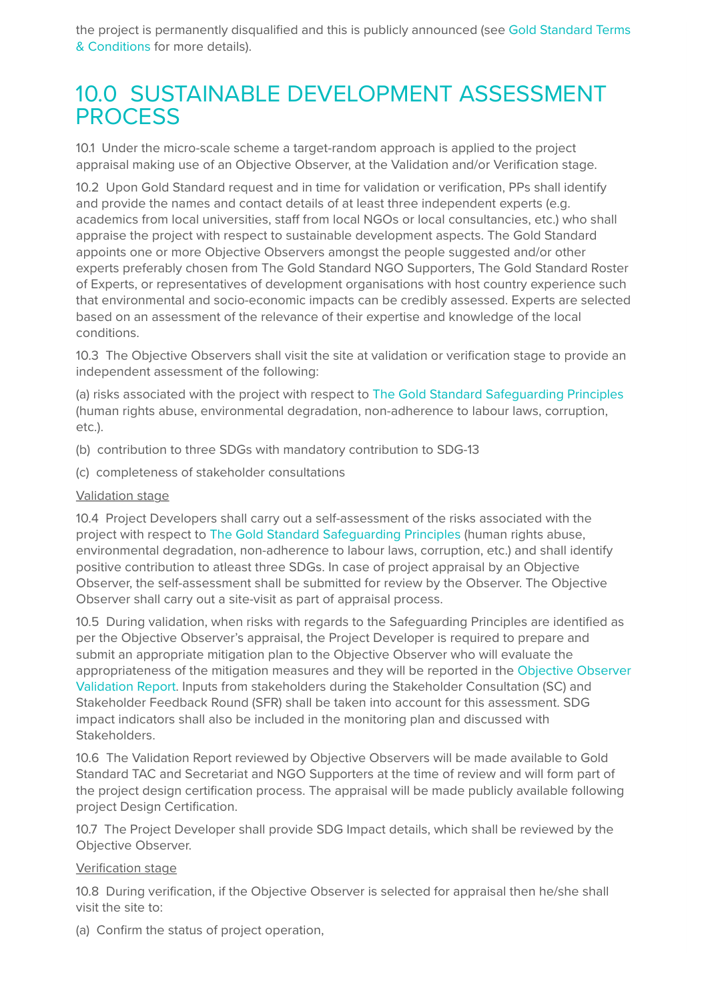the project is permanently disqualified and this is publicly announced (see Gold Standard Terms & Conditions for more details).

#### 10.0 SUSTAINABLE DEVELOPMENT ASSESSMENT **PROCESS**

10.1 Under the micro-scale scheme a target-random approach is applied to the project appraisal making use of an Objective Observer, at the Validation and/or Verification stage.

10.2 Upon Gold Standard request and in time for validation or verification, PPs shall identify and provide the names and contact details of at least three independent experts (e.g. academics from local universities, staff from local NGOs or local consultancies, etc.) who shall appraise the project with respect to sustainable development aspects. The Gold Standard appoints one or more Objective Observers amongst the people suggested and/or other experts preferably chosen from The Gold Standard NGO Supporters, The Gold Standard Roster of Experts, or representatives of development organisations with host country experience such that environmental and socio-economic impacts can be credibly assessed. Experts are selected based on an assessment of the relevance of their expertise and knowledge of the local conditions.

10.3 The Objective Observers shall visit the site at validation or verification stage to provide an independent assessment of the following:

(a) risks associated with the project with respect to The Gold Standard Safeguarding Principles (human rights abuse, environmental degradation, non-adherence to labour laws, corruption, etc.).

- (b) contribution to three SDGs with mandatory contribution to SDG-13
- (c) completeness of stakeholder consultations

#### Validation stage

10.4 Project Developers shall carry out a self-assessment of the risks associated with the project with respect to The Gold Standard Safeguarding Principles (human rights abuse, environmental degradation, non-adherence to labour laws, corruption, etc.) and shall identify positive contribution to atleast three SDGs. In case of project appraisal by an Objective Observer, the self-assessment shall be submitted for review by the Observer. The Objective Observer shall carry out a site-visit as part of appraisal process.

10.5 During validation, when risks with regards to the Safeguarding Principles are identified as per the Objective Observer's appraisal, the Project Developer is required to prepare and submit an appropriate mitigation plan to the Objective Observer who will evaluate the appropriateness of the mitigation measures and they will be reported in the Objective Observer Validation Report. Inputs from stakeholders during the Stakeholder Consultation (SC) and Stakeholder Feedback Round (SFR) shall be taken into account for this assessment. SDG impact indicators shall also be included in the monitoring plan and discussed with Stakeholders.

10.6 The Validation Report reviewed by Objective Observers will be made available to Gold Standard TAC and Secretariat and NGO Supporters at the time of review and will form part of the project design certification process. The appraisal will be made publicly available following project Design Certification.

10.7 The Project Developer shall provide SDG Impact details, which shall be reviewed by the Objective Observer.

#### Verification stage

10.8 During verification, if the Objective Observer is selected for appraisal then he/she shall visit the site to:

(a) Confirm the status of project operation,